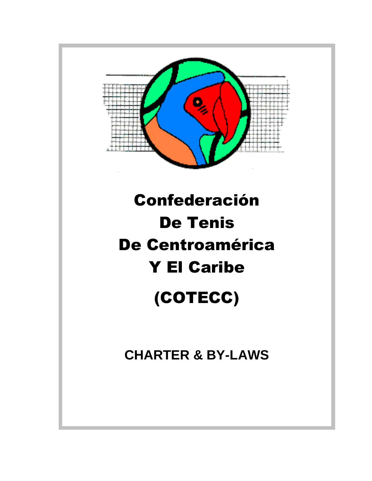

# Confederación De Tenis De Centroamérica Y El Caribe (COTECC)

**CHARTER & BY-LAWS**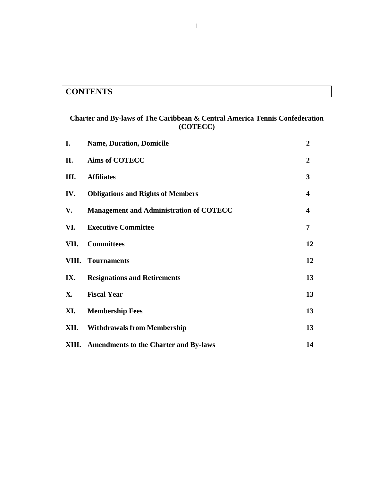## **CONTENTS**

## **Charter and By-laws of The Caribbean & Central America Tennis Confederation (COTECC)**

| I.        | <b>Name, Duration, Domicile</b>                    | $\boldsymbol{2}$        |
|-----------|----------------------------------------------------|-------------------------|
| П.        | <b>Aims of COTECC</b>                              | $\overline{2}$          |
| III.      | <b>Affiliates</b>                                  | 3                       |
| IV.       | <b>Obligations and Rights of Members</b>           | $\overline{\mathbf{4}}$ |
| V.        | <b>Management and Administration of COTECC</b>     | $\overline{\mathbf{4}}$ |
| VI.       | <b>Executive Committee</b>                         | $\overline{7}$          |
|           | VII. Committees                                    | 12                      |
|           | <b>VIII.</b> Tournaments                           | 12                      |
| IX.       | <b>Resignations and Retirements</b>                | 13                      |
| <b>X.</b> | <b>Fiscal Year</b>                                 | 13                      |
| XI.       | <b>Membership Fees</b>                             | 13                      |
|           | <b>XII.</b> Withdrawals from Membership            | 13                      |
|           | <b>XIII.</b> Amendments to the Charter and By-laws | 14                      |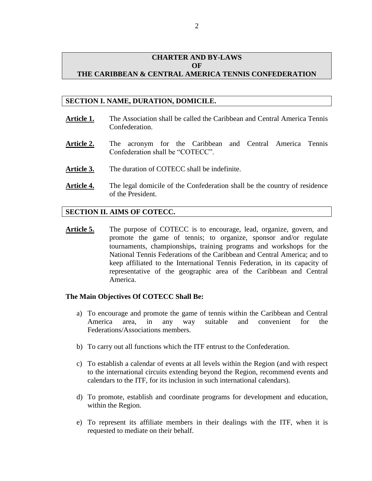## **CHARTER AND BY-LAWS OF THE CARIBBEAN & CENTRAL AMERICA TENNIS CONFEDERATION**

## **SECTION I. NAME, DURATION, DOMICILE.**

- **Article 1.** The Association shall be called the Caribbean and Central America Tennis Confederation.
- **Article 2.** The acronym for the Caribbean and Central America Tennis Confederation shall be "COTECC".
- Article 3. The duration of COTECC shall be indefinite.
- **Article 4.** The legal domicile of the Confederation shall be the country of residence of the President.

## **SECTION II. AIMS OF COTECC.**

**Article 5.** The purpose of COTECC is to encourage, lead, organize, govern, and promote the game of tennis; to organize, sponsor and/or regulate tournaments, championships, training programs and workshops for the National Tennis Federations of the Caribbean and Central America; and to keep affiliated to the International Tennis Federation, in its capacity of representative of the geographic area of the Caribbean and Central America.

### **The Main Objectives Of COTECC Shall Be:**

- a) To encourage and promote the game of tennis within the Caribbean and Central America area, in any way suitable and convenient for the Federations/Associations members.
- b) To carry out all functions which the ITF entrust to the Confederation.
- c) To establish a calendar of events at all levels within the Region (and with respect to the international circuits extending beyond the Region, recommend events and calendars to the ITF, for its inclusion in such international calendars).
- d) To promote, establish and coordinate programs for development and education, within the Region.
- e) To represent its affiliate members in their dealings with the ITF, when it is requested to mediate on their behalf.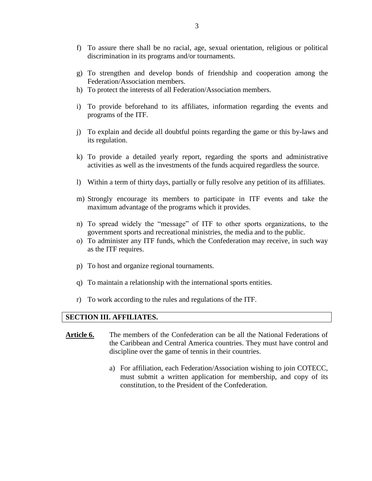- f) To assure there shall be no racial, age, sexual orientation, religious or political discrimination in its programs and/or tournaments.
- g) To strengthen and develop bonds of friendship and cooperation among the Federation/Association members.
- h) To protect the interests of all Federation/Association members.
- i) To provide beforehand to its affiliates, information regarding the events and programs of the ITF.
- j) To explain and decide all doubtful points regarding the game or this by-laws and its regulation.
- k) To provide a detailed yearly report, regarding the sports and administrative activities as well as the investments of the funds acquired regardless the source.
- l) Within a term of thirty days, partially or fully resolve any petition of its affiliates.
- m) Strongly encourage its members to participate in ITF events and take the maximum advantage of the programs which it provides.
- n) To spread widely the "message" of ITF to other sports organizations, to the government sports and recreational ministries, the media and to the public.
- o) To administer any ITF funds, which the Confederation may receive, in such way as the ITF requires.
- p) To host and organize regional tournaments.
- q) To maintain a relationship with the international sports entities.
- r) To work according to the rules and regulations of the ITF.

### **SECTION III. AFFILIATES.**

- **Article 6.** The members of the Confederation can be all the National Federations of the Caribbean and Central America countries. They must have control and discipline over the game of tennis in their countries.
	- a) For affiliation, each Federation/Association wishing to join COTECC, must submit a written application for membership, and copy of its constitution, to the President of the Confederation.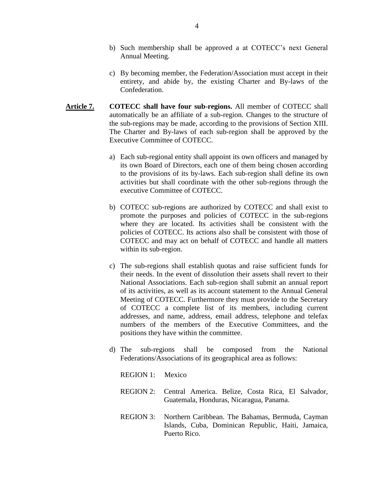- b) Such membership shall be approved a at COTECC's next General Annual Meeting.
- c) By becoming member, the Federation/Association must accept in their entirety, and abide by, the existing Charter and By-laws of the Confederation.
- **Article 7. COTECC shall have four sub-regions.** All member of COTECC shall automatically be an affiliate of a sub-region. Changes to the structure of the sub-regions may be made, according to the provisions of Section XIII. The Charter and By-laws of each sub-region shall be approved by the Executive Committee of COTECC.
	- a) Each sub-regional entity shall appoint its own officers and managed by its own Board of Directors, each one of them being chosen according to the provisions of its by-laws. Each sub-region shall define its own activities but shall coordinate with the other sub-regions through the executive Committee of COTECC.
	- b) COTECC sub-regions are authorized by COTECC and shall exist to promote the purposes and policies of COTECC in the sub-regions where they are located. Its activities shall be consistent with the policies of COTECC. Its actions also shall be consistent with those of COTECC and may act on behalf of COTECC and handle all matters within its sub-region.
	- c) The sub-regions shall establish quotas and raise sufficient funds for their needs. In the event of dissolution their assets shall revert to their National Associations. Each sub-region shall submit an annual report of its activities, as well as its account statement to the Annual General Meeting of COTECC. Furthermore they must provide to the Secretary of COTECC a complete list of its members, including current addresses, and name, address, email address, telephone and telefax numbers of the members of the Executive Committees, and the positions they have within the committee.
	- d) The sub-regions shall be composed from the National Federations/Associations of its geographical area as follows:

REGION 1: Mexico

- REGION 2: Central America. Belize, Costa Rica, El Salvador, Guatemala, Honduras, Nicaragua, Panama.
- REGION 3: Northern Caribbean. The Bahamas, Bermuda, Cayman Islands, Cuba, Dominican Republic, Haiti, Jamaica, Puerto Rico.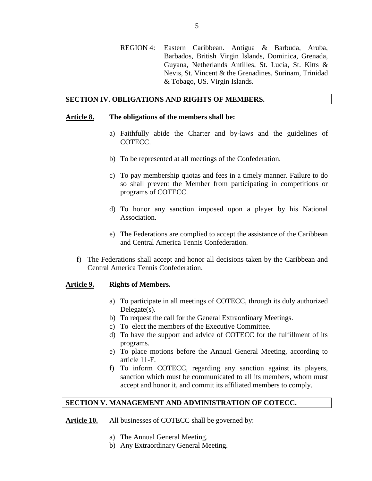REGION 4: Eastern Caribbean. Antigua & Barbuda, Aruba, Barbados, British Virgin Islands, Dominica, Grenada, Guyana, Netherlands Antilles, St. Lucia, St. Kitts & Nevis, St. Vincent & the Grenadines, Surinam, Trinidad & Tobago, US. Virgin Islands.

#### **SECTION IV. OBLIGATIONS AND RIGHTS OF MEMBERS.**

#### **Article 8. The obligations of the members shall be:**

- a) Faithfully abide the Charter and by-laws and the guidelines of COTECC.
- b) To be represented at all meetings of the Confederation.
- c) To pay membership quotas and fees in a timely manner. Failure to do so shall prevent the Member from participating in competitions or programs of COTECC.
- d) To honor any sanction imposed upon a player by his National Association.
- e) The Federations are complied to accept the assistance of the Caribbean and Central America Tennis Confederation.
- f) The Federations shall accept and honor all decisions taken by the Caribbean and Central America Tennis Confederation.

#### **Article 9. Rights of Members.**

- a) To participate in all meetings of COTECC, through its duly authorized  $Delegate(s)$ .
- b) To request the call for the General Extraordinary Meetings.
- c) To elect the members of the Executive Committee.
- d) To have the support and advice of COTECC for the fulfillment of its programs.
- e) To place motions before the Annual General Meeting, according to article 11-F.
- f) To inform COTECC, regarding any sanction against its players, sanction which must be communicated to all its members, whom must accept and honor it, and commit its affiliated members to comply.

## **SECTION V. MANAGEMENT AND ADMINISTRATION OF COTECC.**

- Article 10. All businesses of COTECC shall be governed by:
	- a) The Annual General Meeting.
	- b) Any Extraordinary General Meeting.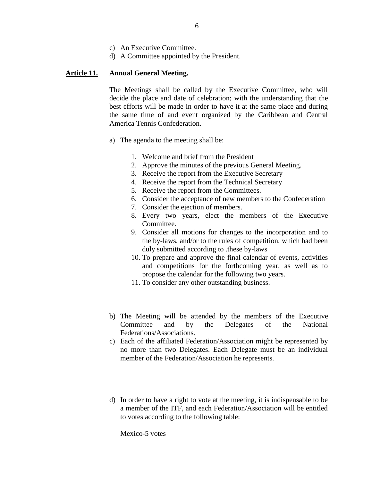- c) An Executive Committee.
- d) A Committee appointed by the President.

## **Article 11. Annual General Meeting.**

The Meetings shall be called by the Executive Committee, who will decide the place and date of celebration; with the understanding that the best efforts will be made in order to have it at the same place and during the same time of and event organized by the Caribbean and Central America Tennis Confederation.

- a) The agenda to the meeting shall be:
	- 1. Welcome and brief from the President
	- 2. Approve the minutes of the previous General Meeting.
	- 3. Receive the report from the Executive Secretary
	- 4. Receive the report from the Technical Secretary
	- 5. Receive the report from the Committees.
	- 6. Consider the acceptance of new members to the Confederation
	- 7. Consider the ejection of members.
	- 8. Every two years, elect the members of the Executive Committee.
	- 9. Consider all motions for changes to the incorporation and to the by-laws, and/or to the rules of competition, which had been duly submitted according to .these by-laws
	- 10. To prepare and approve the final calendar of events, activities and competitions for the forthcoming year, as well as to propose the calendar for the following two years.
	- 11. To consider any other outstanding business.
- b) The Meeting will be attended by the members of the Executive Committee and by the Delegates of the National Federations/Associations.
- c) Each of the affiliated Federation/Association might be represented by no more than two Delegates. Each Delegate must be an individual member of the Federation/Association he represents.
- d) In order to have a right to vote at the meeting, it is indispensable to be a member of the ITF, and each Federation/Association will be entitled to votes according to the following table:

Mexico-5 votes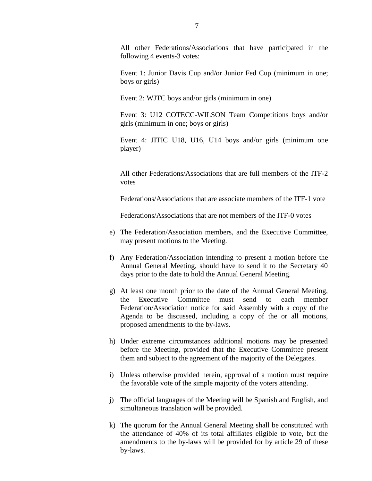All other Federations/Associations that have participated in the following 4 events-3 votes:

Event 1: Junior Davis Cup and/or Junior Fed Cup (minimum in one; boys or girls)

Event 2: WJTC boys and/or girls (minimum in one)

Event 3: U12 COTECC-WILSON Team Competitions boys and/or girls (minimum in one; boys or girls)

Event 4: JITIC U18, U16, U14 boys and/or girls (minimum one player)

All other Federations/Associations that are full members of the ITF-2 votes

Federations/Associations that are associate members of the ITF-1 vote

Federations/Associations that are not members of the ITF-0 votes

- e) The Federation/Association members, and the Executive Committee, may present motions to the Meeting.
- f) Any Federation/Association intending to present a motion before the Annual General Meeting, should have to send it to the Secretary 40 days prior to the date to hold the Annual General Meeting.
- g) At least one month prior to the date of the Annual General Meeting, the Executive Committee must send to each member Federation/Association notice for said Assembly with a copy of the Agenda to be discussed, including a copy of the or all motions, proposed amendments to the by-laws.
- h) Under extreme circumstances additional motions may be presented before the Meeting, provided that the Executive Committee present them and subject to the agreement of the majority of the Delegates.
- i) Unless otherwise provided herein, approval of a motion must require the favorable vote of the simple majority of the voters attending.
- j) The official languages of the Meeting will be Spanish and English, and simultaneous translation will be provided.
- k) The quorum for the Annual General Meeting shall be constituted with the attendance of 40% of its total affiliates eligible to vote, but the amendments to the by-laws will be provided for by article 29 of these by-laws.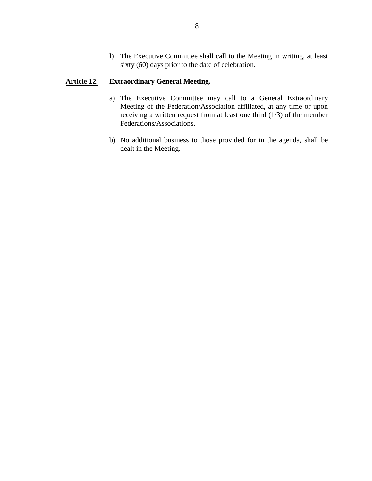l) The Executive Committee shall call to the Meeting in writing, at least sixty (60) days prior to the date of celebration.

## **Article 12. Extraordinary General Meeting.**

- a) The Executive Committee may call to a General Extraordinary Meeting of the Federation/Association affiliated, at any time or upon receiving a written request from at least one third (1/3) of the member Federations/Associations.
- b) No additional business to those provided for in the agenda, shall be dealt in the Meeting.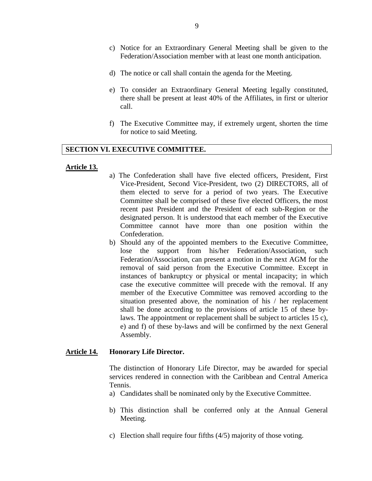- c) Notice for an Extraordinary General Meeting shall be given to the Federation/Association member with at least one month anticipation.
- d) The notice or call shall contain the agenda for the Meeting.
- e) To consider an Extraordinary General Meeting legally constituted, there shall be present at least 40% of the Affiliates, in first or ulterior call.
- f) The Executive Committee may, if extremely urgent, shorten the time for notice to said Meeting.

#### **SECTION VI. EXECUTIVE COMMITTEE.**

#### **Article 13.**

- a) The Confederation shall have five elected officers, President, First Vice-President, Second Vice-President, two (2) DIRECTORS, all of them elected to serve for a period of two years. The Executive Committee shall be comprised of these five elected Officers, the most recent past President and the President of each sub-Region or the designated person. It is understood that each member of the Executive Committee cannot have more than one position within the Confederation.
- b) Should any of the appointed members to the Executive Committee, lose the support from his/her Federation/Association, such Federation/Association, can present a motion in the next AGM for the removal of said person from the Executive Committee. Except in instances of bankruptcy or physical or mental incapacity; in which case the executive committee will precede with the removal. If any member of the Executive Committee was removed according to the situation presented above, the nomination of his / her replacement shall be done according to the provisions of article 15 of these bylaws. The appointment or replacement shall be subject to articles 15 c), e) and f) of these by-laws and will be confirmed by the next General Assembly.

## **Article 14. Honorary Life Director.**

The distinction of Honorary Life Director, may be awarded for special services rendered in connection with the Caribbean and Central America Tennis.

- a) Candidates shall be nominated only by the Executive Committee.
- b) This distinction shall be conferred only at the Annual General Meeting.
- c) Election shall require four fifths (4/5) majority of those voting.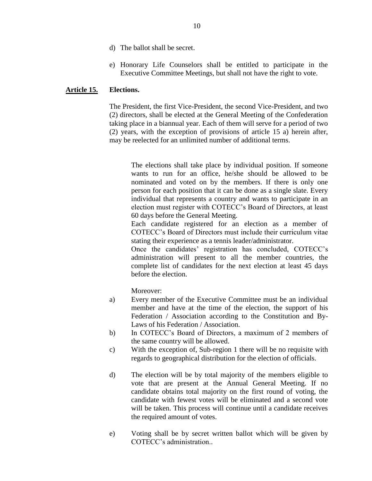- d) The ballot shall be secret.
- e) Honorary Life Counselors shall be entitled to participate in the Executive Committee Meetings, but shall not have the right to vote.

## **Article 15. Elections.**

The President, the first Vice-President, the second Vice-President, and two (2) directors, shall be elected at the General Meeting of the Confederation taking place in a biannual year. Each of them will serve for a period of two (2) years, with the exception of provisions of article 15 a) herein after, may be reelected for an unlimited number of additional terms.

The elections shall take place by individual position. If someone wants to run for an office, he/she should be allowed to be nominated and voted on by the members. If there is only one person for each position that it can be done as a single slate. Every individual that represents a country and wants to participate in an election must register with COTECC's Board of Directors, at least 60 days before the General Meeting.

Each candidate registered for an election as a member of COTECC's Board of Directors must include their curriculum vitae stating their experience as a tennis leader/administrator.

Once the candidates' registration has concluded, COTECC's administration will present to all the member countries, the complete list of candidates for the next election at least 45 days before the election.

Moreover:

- a) Every member of the Executive Committee must be an individual member and have at the time of the election, the support of his Federation / Association according to the Constitution and By-Laws of his Federation / Association.
- b) In COTECC's Board of Directors, a maximum of 2 members of the same country will be allowed.
- c) With the exception of, Sub-region 1 there will be no requisite with regards to geographical distribution for the election of officials.
- d) The election will be by total majority of the members eligible to vote that are present at the Annual General Meeting. If no candidate obtains total majority on the first round of voting, the candidate with fewest votes will be eliminated and a second vote will be taken. This process will continue until a candidate receives the required amount of votes.
- e) Voting shall be by secret written ballot which will be given by COTECC's administration..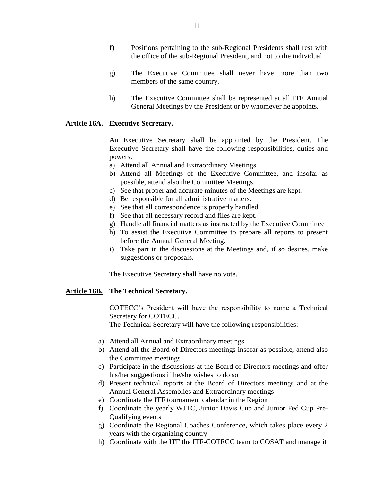- f) Positions pertaining to the sub-Regional Presidents shall rest with the office of the sub-Regional President, and not to the individual.
- g) The Executive Committee shall never have more than two members of the same country.
- h) The Executive Committee shall be represented at all ITF Annual General Meetings by the President or by whomever he appoints.

## **Article 16A. Executive Secretary.**

An Executive Secretary shall be appointed by the President. The Executive Secretary shall have the following responsibilities, duties and powers:

- a) Attend all Annual and Extraordinary Meetings.
- b) Attend all Meetings of the Executive Committee, and insofar as possible, attend also the Committee Meetings.
- c) See that proper and accurate minutes of the Meetings are kept.
- d) Be responsible for all administrative matters.
- e) See that all correspondence is properly handled.
- f) See that all necessary record and files are kept.
- g) Handle all financial matters as instructed by the Executive Committee
- h) To assist the Executive Committee to prepare all reports to present before the Annual General Meeting.
- i) Take part in the discussions at the Meetings and, if so desires, make suggestions or proposals.

The Executive Secretary shall have no vote.

### **Article 16B. The Technical Secretary.**

COTECC's President will have the responsibility to name a Technical Secretary for COTECC.

The Technical Secretary will have the following responsibilities:

- a) Attend all Annual and Extraordinary meetings.
- b) Attend all the Board of Directors meetings insofar as possible, attend also the Committee meetings
- c) Participate in the discussions at the Board of Directors meetings and offer his/her suggestions if he/she wishes to do so
- d) Present technical reports at the Board of Directors meetings and at the Annual General Assemblies and Extraordinary meetings
- e) Coordinate the ITF tournament calendar in the Region
- f) Coordinate the yearly WJTC, Junior Davis Cup and Junior Fed Cup Pre-Qualifying events
- g) Coordinate the Regional Coaches Conference, which takes place every 2 years with the organizing country
- h) Coordinate with the ITF the ITF-COTECC team to COSAT and manage it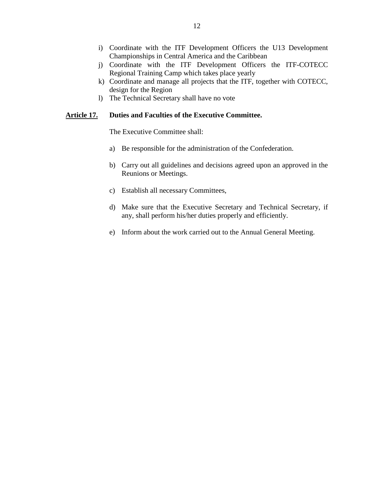- i) Coordinate with the ITF Development Officers the U13 Development Championships in Central America and the Caribbean
- j) Coordinate with the ITF Development Officers the ITF-COTECC Regional Training Camp which takes place yearly
- k) Coordinate and manage all projects that the ITF, together with COTECC, design for the Region
- l) The Technical Secretary shall have no vote

## **Article 17. Duties and Faculties of the Executive Committee.**

The Executive Committee shall:

- a) Be responsible for the administration of the Confederation.
- b) Carry out all guidelines and decisions agreed upon an approved in the Reunions or Meetings.
- c) Establish all necessary Committees,
- d) Make sure that the Executive Secretary and Technical Secretary, if any, shall perform his/her duties properly and efficiently.
- e) Inform about the work carried out to the Annual General Meeting.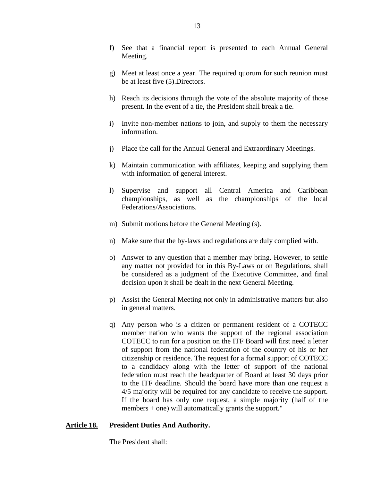- f) See that a financial report is presented to each Annual General Meeting.
- g) Meet at least once a year. The required quorum for such reunion must be at least five (5).Directors.
- h) Reach its decisions through the vote of the absolute majority of those present. In the event of a tie, the President shall break a tie.
- i) Invite non-member nations to join, and supply to them the necessary information.
- j) Place the call for the Annual General and Extraordinary Meetings.
- k) Maintain communication with affiliates, keeping and supplying them with information of general interest.
- l) Supervise and support all Central America and Caribbean championships, as well as the championships of the local Federations/Associations.
- m) Submit motions before the General Meeting (s).
- n) Make sure that the by-laws and regulations are duly complied with.
- o) Answer to any question that a member may bring. However, to settle any matter not provided for in this By-Laws or on Regulations, shall be considered as a judgment of the Executive Committee, and final decision upon it shall be dealt in the next General Meeting.
- p) Assist the General Meeting not only in administrative matters but also in general matters.
- q) Any person who is a citizen or permanent resident of a COTECC member nation who wants the support of the regional association COTECC to run for a position on the ITF Board will first need a letter of support from the national federation of the country of his or her citizenship or residence. The request for a formal support of COTECC to a candidacy along with the letter of support of the national federation must reach the headquarter of Board at least 30 days prior to the ITF deadline. Should the board have more than one request a 4/5 majority will be required for any candidate to receive the support. If the board has only one request, a simple majority (half of the members + one) will automatically grants the support."

## **Article 18. President Duties And Authority.**

The President shall: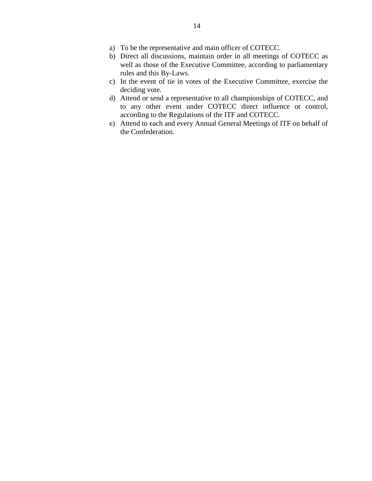- a) To be the representative and main officer of COTECC.
- b) Direct all discussions, maintain order in all meetings of COTECC as well as those of the Executive Committee, according to parliamentary rules and this By-Laws.
- c) In the event of tie in votes of the Executive Committee, exercise the deciding vote.
- d) Attend or send a representative to all championships of COTECC, and to any other event under COTECC direct influence or control, according to the Regulations of the ITF and COTECC.
- e) Attend to each and every Annual General Meetings of ITF on behalf of the Confederation.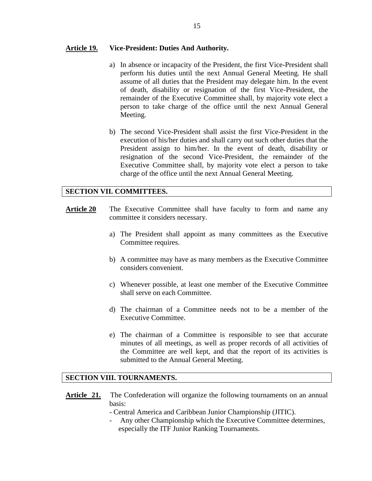## **Article 19. Vice-President: Duties And Authority.**

- a) In absence or incapacity of the President, the first Vice-President shall perform his duties until the next Annual General Meeting. He shall assume of all duties that the President may delegate him. In the event of death, disability or resignation of the first Vice-President, the remainder of the Executive Committee shall, by majority vote elect a person to take charge of the office until the next Annual General Meeting.
- b) The second Vice-President shall assist the first Vice-President in the execution of his/her duties and shall carry out such other duties that the President assign to him/her. In the event of death, disability or resignation of the second Vice-President, the remainder of the Executive Committee shall, by majority vote elect a person to take charge of the office until the next Annual General Meeting.

## **SECTION VII. COMMITTEES.**

- **Article 20** The Executive Committee shall have faculty to form and name any committee it considers necessary.
	- a) The President shall appoint as many committees as the Executive Committee requires.
	- b) A committee may have as many members as the Executive Committee considers convenient.
	- c) Whenever possible, at least one member of the Executive Committee shall serve on each Committee.
	- d) The chairman of a Committee needs not to be a member of the Executive Committee.
	- e) The chairman of a Committee is responsible to see that accurate minutes of all meetings, as well as proper records of all activities of the Committee are well kept, and that the report of its activities is submitted to the Annual General Meeting.

## **SECTION VIII. TOURNAMENTS.**

- **Article 21.** The Confederation will organize the following tournaments on an annual basis:
	- Central America and Caribbean Junior Championship (JITIC).
	- Any other Championship which the Executive Committee determines, especially the ITF Junior Ranking Tournaments.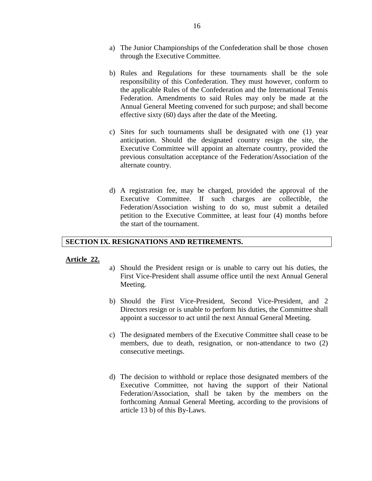- a) The Junior Championships of the Confederation shall be those chosen through the Executive Committee.
- b) Rules and Regulations for these tournaments shall be the sole responsibility of this Confederation. They must however, conform to the applicable Rules of the Confederation and the International Tennis Federation. Amendments to said Rules may only be made at the Annual General Meeting convened for such purpose; and shall become effective sixty (60) days after the date of the Meeting.
- c) Sites for such tournaments shall be designated with one (1) year anticipation. Should the designated country resign the site, the Executive Committee will appoint an alternate country, provided the previous consultation acceptance of the Federation/Association of the alternate country.
- d) A registration fee, may be charged, provided the approval of the Executive Committee. If such charges are collectible, the Federation/Association wishing to do so, must submit a detailed petition to the Executive Committee, at least four (4) months before the start of the tournament.

## **SECTION IX. RESIGNATIONS AND RETIREMENTS.**

## **Article 22.**

- a) Should the President resign or is unable to carry out his duties, the First Vice-President shall assume office until the next Annual General Meeting.
- b) Should the First Vice-President, Second Vice-President, and 2 Directors resign or is unable to perform his duties, the Committee shall appoint a successor to act until the next Annual General Meeting.
- c) The designated members of the Executive Committee shall cease to be members, due to death, resignation, or non-attendance to two (2) consecutive meetings.
- d) The decision to withhold or replace those designated members of the Executive Committee, not having the support of their National Federation/Association, shall be taken by the members on the forthcoming Annual General Meeting, according to the provisions of article 13 b) of this By-Laws.